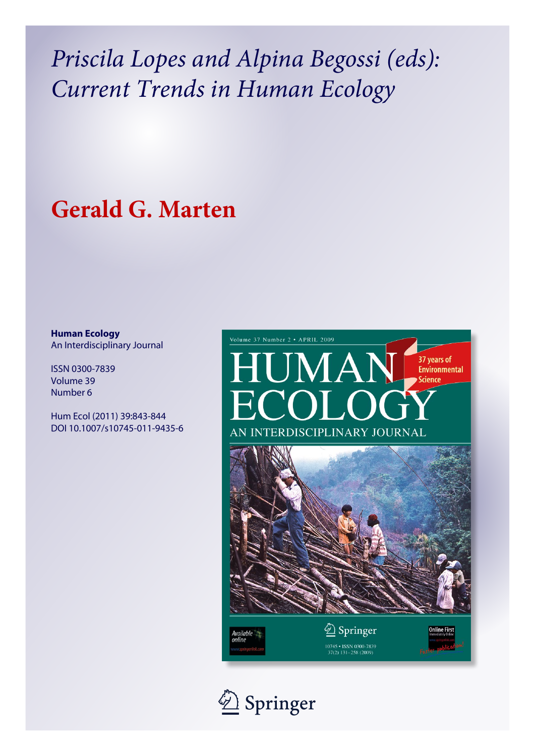*Priscila Lopes and Alpina Begossi (eds): Current Trends in Human Ecology*

## **Gerald G. Marten**

**Human Ecology** An Interdisciplinary Journal

ISSN 0300-7839 Volume 39 Number 6

Hum Ecol (2011) 39:843-844 DOI 10.1007/s10745-011-9435-6



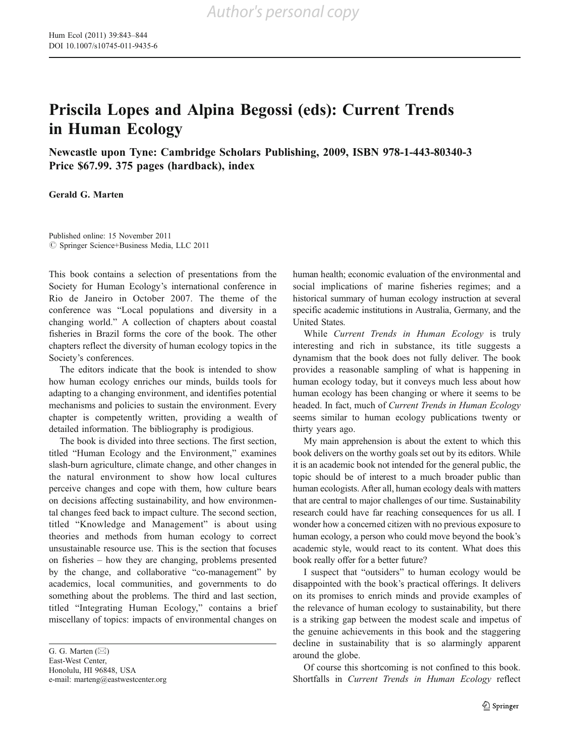## Priscila Lopes and Alpina Begossi (eds): Current Trends in Human Ecology

Newcastle upon Tyne: Cambridge Scholars Publishing, 2009, ISBN 978-1-443-80340-3 Price \$67.99. 375 pages (hardback), index

## Gerald G. Marten

Published online: 15 November 2011  $©$  Springer Science+Business Media, LLC 2011

This book contains a selection of presentations from the Society for Human Ecology's international conference in Rio de Janeiro in October 2007. The theme of the conference was "Local populations and diversity in a changing world." A collection of chapters about coastal fisheries in Brazil forms the core of the book. The other chapters reflect the diversity of human ecology topics in the Society's conferences.

The editors indicate that the book is intended to show how human ecology enriches our minds, builds tools for adapting to a changing environment, and identifies potential mechanisms and policies to sustain the environment. Every chapter is competently written, providing a wealth of detailed information. The bibliography is prodigious.

The book is divided into three sections. The first section, titled "Human Ecology and the Environment," examines slash-burn agriculture, climate change, and other changes in the natural environment to show how local cultures perceive changes and cope with them, how culture bears on decisions affecting sustainability, and how environmental changes feed back to impact culture. The second section, titled "Knowledge and Management" is about using theories and methods from human ecology to correct unsustainable resource use. This is the section that focuses on fisheries – how they are changing, problems presented by the change, and collaborative "co-management" by academics, local communities, and governments to do something about the problems. The third and last section, titled "Integrating Human Ecology," contains a brief miscellany of topics: impacts of environmental changes on

human health; economic evaluation of the environmental and social implications of marine fisheries regimes; and a historical summary of human ecology instruction at several specific academic institutions in Australia, Germany, and the United States.

While Current Trends in Human Ecology is truly interesting and rich in substance, its title suggests a dynamism that the book does not fully deliver. The book provides a reasonable sampling of what is happening in human ecology today, but it conveys much less about how human ecology has been changing or where it seems to be headed. In fact, much of Current Trends in Human Ecology seems similar to human ecology publications twenty or thirty years ago.

My main apprehension is about the extent to which this book delivers on the worthy goals set out by its editors. While it is an academic book not intended for the general public, the topic should be of interest to a much broader public than human ecologists. After all, human ecology deals with matters that are central to major challenges of our time. Sustainability research could have far reaching consequences for us all. I wonder how a concerned citizen with no previous exposure to human ecology, a person who could move beyond the book's academic style, would react to its content. What does this book really offer for a better future?

I suspect that "outsiders" to human ecology would be disappointed with the book's practical offerings. It delivers on its promises to enrich minds and provide examples of the relevance of human ecology to sustainability, but there is a striking gap between the modest scale and impetus of the genuine achievements in this book and the staggering decline in sustainability that is so alarmingly apparent around the globe.

Of course this shortcoming is not confined to this book. Shortfalls in Current Trends in Human Ecology reflect

G. G. Marten  $(\boxtimes)$ East-West Center, Honolulu, HI 96848, USA e-mail: marteng@eastwestcenter.org